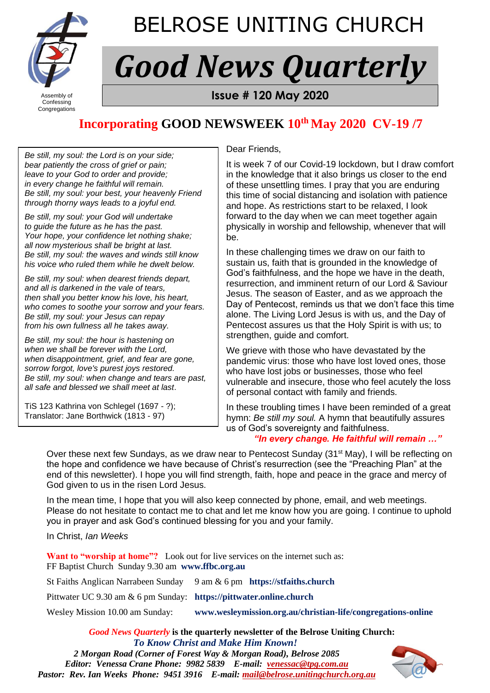

# BELROSE UNITING CHURCH

# *Good News Quarterly*

Congregations

**Assembly of <b>FROM BELROSE UNITED** SERVICE UNITS ISSUE # 120 May 2020

## **Incorporating GOOD NEWSWEEK 10th May 2020 CV-19 /7**

Dear Friends,

*Be still, my soul: the Lord is on your side; bear patiently the cross of grief or pain; leave to your God to order and provide; in every change he faithful will remain. Be still, my soul: your best, your heavenly Friend through thorny ways leads to a joyful end.*

*Be still, my soul: your God will undertake to guide the future as he has the past. Your hope, your confidence let nothing shake; all now mysterious shall be bright at last. Be still, my soul: the waves and winds still know his voice who ruled them while he dwelt below.*

*Be still, my soul: when dearest friends depart, and all is darkened in the vale of tears, then shall you better know his love, his heart, who comes to soothe your sorrow and your fears. Be still, my soul: your Jesus can repay from his own fullness all he takes away.*

*Be still, my soul: the hour is hastening on when we shall be forever with the Lord, when disappointment, grief, and fear are gone, sorrow forgot, love's purest joys restored. Be still, my soul: when change and tears are past, all safe and blessed we shall meet at last*.

TiS 123 Kathrina von Schlegel (1697 - ?); Translator: Jane Borthwick (1813 - 97)

It is week 7 of our Covid-19 lockdown, but I draw comfort in the knowledge that it also brings us closer to the end of these unsettling times. I pray that you are enduring this time of social distancing and isolation with patience and hope. As restrictions start to be relaxed, I look forward to the day when we can meet together again physically in worship and fellowship, whenever that will be.

In these challenging times we draw on our faith to sustain us, faith that is grounded in the knowledge of God's faithfulness, and the hope we have in the death, resurrection, and imminent return of our Lord & Saviour Jesus. The season of Easter, and as we approach the Day of Pentecost, reminds us that we don't face this time alone. The Living Lord Jesus is with us, and the Day of Pentecost assures us that the Holy Spirit is with us; to strengthen, guide and comfort.

We grieve with those who have devastated by the pandemic virus: those who have lost loved ones, those who have lost jobs or businesses, those who feel vulnerable and insecure, those who feel acutely the loss of personal contact with family and friends.

In these troubling times I have been reminded of a great hymn: *Be still my soul.* A hymn that beautifully assures us of God's sovereignty and faithfulness.

#### *"In every change. He faithful will remain …"*

Over these next few Sundays, as we draw near to Pentecost Sunday (31<sup>st</sup> May), I will be reflecting on the hope and confidence we have because of Christ's resurrection (see the "Preaching Plan" at the end of this newsletter). I hope you will find strength, faith, hope and peace in the grace and mercy of God given to us in the risen Lord Jesus.

In the mean time, I hope that you will also keep connected by phone, email, and web meetings. Please do not hesitate to contact me to chat and let me know how you are going. I continue to uphold you in prayer and ask God's continued blessing for you and your family.

In Christ, *Ian Weeks*

**Want to "worship at home"?** Look out for live services on the internet such as: FF Baptist Church Sunday 9.30 am **www.ffbc.org.au**

St Faiths Anglican Narrabeen Sunday 9 am & 6 pm **https://stfaiths.church**

Pittwater UC 9.30 am & 6 pm Sunday: **https://pittwater.online.church** 

Wesley Mission 10.00 am Sunday: **www.wesleymission.org.au/christian-life/congregations-online** 

*Good News Quarterly* **is the quarterly newsletter of the Belrose Uniting Church:**  *To Know Christ and Make Him Known!*

*2 Morgan Road (Corner of Forest Way & Morgan Road), Belrose 2085 Editor: Venessa Crane Phone: 9982 5839 E-mail: [venessac@tpg.com.au](mailto:venessac@tpg.com.au) Pastor: Rev. Ian Weeks Phone: 9451 3916 E-mail: [mail@belrose.unitingchurch.org.au](mailto:mail@belrose.unitingchurch.org.au)*

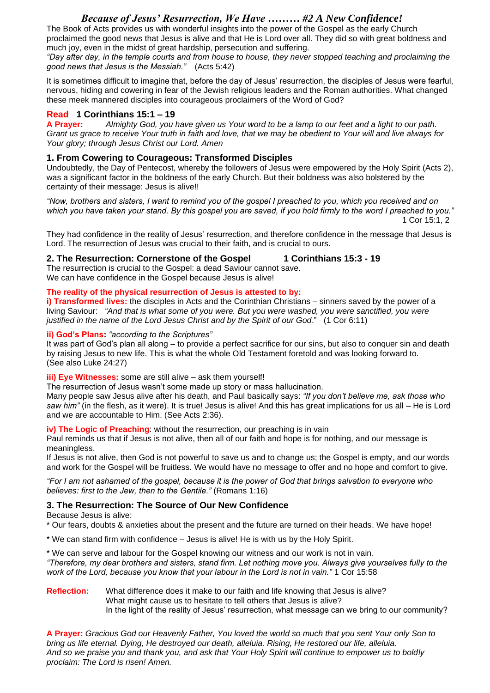#### *Because of Jesus' Resurrection, We Have ……… #2 A New Confidence!*

The Book of Acts provides us with wonderful insights into the power of the Gospel as the early Church proclaimed the good news that Jesus is alive and that He is Lord over all. They did so with great boldness and much joy, even in the midst of great hardship, persecution and suffering.

*"Day after day, in the temple courts and from house to house, they never stopped teaching and proclaiming the good news that Jesus is the Messiah."* (Acts 5:42)

It is sometimes difficult to imagine that, before the day of Jesus' resurrection, the disciples of Jesus were fearful, nervous, hiding and cowering in fear of the Jewish religious leaders and the Roman authorities. What changed these meek mannered disciples into courageous proclaimers of the Word of God?

#### **Read 1 Corinthians 15:1 – 19**

**A Prayer:** *Almighty God, you have given us Your word to be a lamp to our feet and a light to our path. Grant us grace to receive Your truth in faith and love, that we may be obedient to Your will and live always for Your glory; through Jesus Christ our Lord. Amen*

#### **1. From Cowering to Courageous: Transformed Disciples**

Undoubtedly, the Day of Pentecost, whereby the followers of Jesus were empowered by the Holy Spirit (Acts 2), was a significant factor in the boldness of the early Church. But their boldness was also bolstered by the certainty of their message: Jesus is alive!!

*"Now, brothers and sisters, I want to remind you of the gospel I preached to you, which you received and on which you have taken your stand. By this gospel you are saved, if you hold firmly to the word I preached to you."* 1 Cor 15:1, 2

They had confidence in the reality of Jesus' resurrection, and therefore confidence in the message that Jesus is Lord. The resurrection of Jesus was crucial to their faith, and is crucial to ours.

**2. The Resurrection: Cornerstone of the Gospel 1 Corinthians 15:3 - 19**

The resurrection is crucial to the Gospel: a dead Saviour cannot save. We can have confidence in the Gospel because Jesus is alive!

#### **The reality of the physical resurrection of Jesus is attested to by:**

**i) Transformed lives:** the disciples in Acts and the Corinthian Christians – sinners saved by the power of a living Saviour: *"And that is what some of you were. But you were washed, you were sanctified, you were justified in the name of the Lord Jesus Christ and by the Spirit of our God*." (1 Cor 6:11)

#### **ii) God's Plans:** *"according to the Scriptures"*

It was part of God's plan all along – to provide a perfect sacrifice for our sins, but also to conquer sin and death by raising Jesus to new life. This is what the whole Old Testament foretold and was looking forward to. (See also Luke 24:27)

#### **iii) Eye Witnesses:** some are still alive – ask them yourself!

The resurrection of Jesus wasn't some made up story or mass hallucination. Many people saw Jesus alive after his death, and Paul basically says: *"If you don't believe me, ask those who saw him"* (in the flesh, as it were). It is true! Jesus is alive! And this has great implications for us all – He is Lord and we are accountable to Him. (See Acts 2:36).

#### **iv) The Logic of Preaching:** without the resurrection, our preaching is in vain

Paul reminds us that if Jesus is not alive, then all of our faith and hope is for nothing, and our message is meaningless.

If Jesus is not alive, then God is not powerful to save us and to change us; the Gospel is empty, and our words and work for the Gospel will be fruitless. We would have no message to offer and no hope and comfort to give.

*"For I am not ashamed of the gospel, because it is the power of God that brings salvation to everyone who believes: first to the Jew, then to the Gentile."* (Romans 1:16)

#### **3. The Resurrection: The Source of Our New Confidence**

Because Jesus is alive:

\* Our fears, doubts & anxieties about the present and the future are turned on their heads. We have hope!

- \* We can stand firm with confidence Jesus is alive! He is with us by the Holy Spirit.
- \* We can serve and labour for the Gospel knowing our witness and our work is not in vain.

*"Therefore, my dear brothers and sisters, stand firm. Let nothing move you. Always give yourselves fully to the work of the Lord, because you know that your labour in the Lord is not in vain."* 1 Cor 15:58

**Reflection:** What difference does it make to our faith and life knowing that Jesus is alive? What might cause us to hesitate to tell others that Jesus is alive? In the light of the reality of Jesus' resurrection, what message can we bring to our community?

**A Prayer:** *Gracious God our Heavenly Father, You loved the world so much that you sent Your only Son to bring us life eternal. Dying, He destroyed our death, alleluia. Rising, He restored our life, alleluia. And so we praise you and thank you, and ask that Your Holy Spirit will continue to empower us to boldly proclaim: The Lord is risen! Amen.*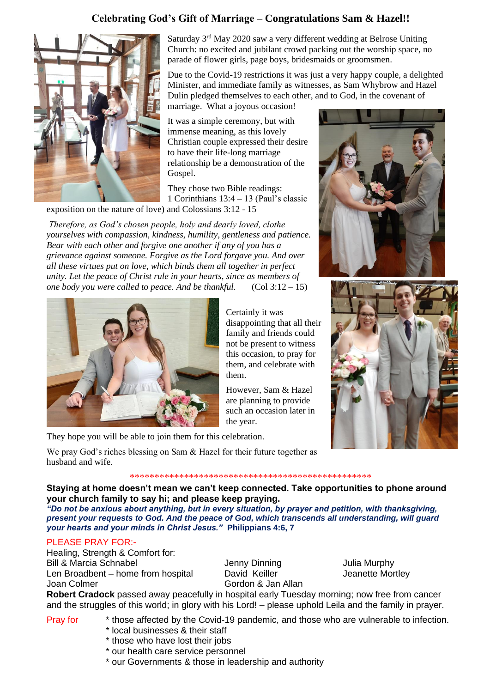### **Celebrating God's Gift of Marriage – Congratulations Sam & Hazel!!**



Saturday 3rd May 2020 saw a very different wedding at Belrose Uniting Church: no excited and jubilant crowd packing out the worship space, no parade of flower girls, page boys, bridesmaids or groomsmen.

Due to the Covid-19 restrictions it was just a very happy couple, a delighted Minister, and immediate family as witnesses, as Sam Whybrow and Hazel Dulin pledged themselves to each other, and to God, in the covenant of

marriage. What a joyous occasion! It was a simple ceremony, but with immense meaning, as this lovely

Christian couple expressed their desire to have their life-long marriage relationship be a demonstration of the Gospel.

They chose two Bible readings: 1 Corinthians 13:4 – 13 (Paul's classic

exposition on the nature of love) and Colossians 3:12 - 15

*Therefore, as God's chosen people, holy and dearly loved, clothe yourselves with compassion, kindness, humility, gentleness and patience. Bear with each other and forgive one another if any of you has a grievance against someone. Forgive as the Lord forgave you. And over all these virtues put on love, which binds them all together in perfect unity. Let the peace of Christ rule in your hearts, since as members of one body you were called to peace. And be thankful.* (Col 3:12 – 15)



They hope you will be able to join them for this celebration.

We pray God's riches blessing on Sam & Hazel for their future together as husband and wife.

\*\*\*\*\*\*\*\*\*\*\*\*\*\*\*\*\*\*\*\*\*\*\*\*\*\*\*\*\*\*\*\*\*\*\*\*\*\*\*\*\*\*\*\*\*\*\*\*\*

Certainly it was

them.

the year.

disappointing that all their family and friends could not be present to witness this occasion, to pray for them, and celebrate with

However, Sam & Hazel are planning to provide such an occasion later in

**Staying at home doesn't mean we can't keep connected. Take opportunities to phone around your church family to say hi; and please keep praying.**

*"Do not be anxious about anything, but in every situation, by prayer and petition, with thanksgiving, present your requests to God. And the peace of God, which transcends all understanding, will guard your hearts and your minds in Christ Jesus."* **Philippians 4:6, 7**

#### PLEASE PRAY FOR:-

Healing, Strength & Comfort for: Bill & Marcia Schnabel Jenny Dinning Julia Murphy Len Broadbent – home from hospital David Keiller Verlag Jeanette Mortley Joan Colmer Gordon & Jan Allan

**Robert Cradock** passed away peacefully in hospital early Tuesday morning; now free from cancer and the struggles of this world; in glory with his Lord! – please uphold Leila and the family in prayer.

- Pray for \* those affected by the Covid-19 pandemic, and those who are vulnerable to infection.
	- \* local businesses & their staff
	- \* those who have lost their jobs
	- \* our health care service personnel
	- \* our Governments & those in leadership and authority